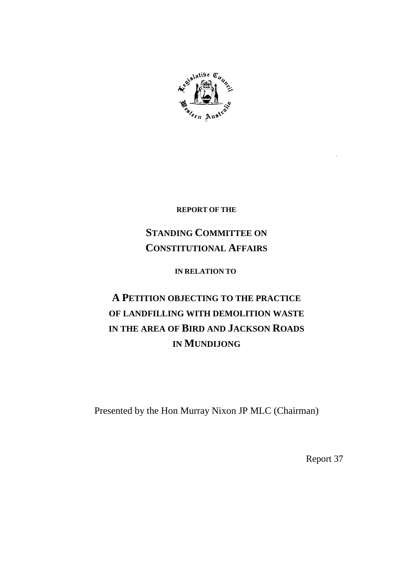

**REPORT OF THE**

## **STANDING COMMITTEE ON CONSTITUTIONAL AFFAIRS**

**IN RELATION TO**

# **A PETITION OBJECTING TO THE PRACTICE OF LANDFILLING WITH DEMOLITION WASTE IN THE AREA OF BIRD AND JACKSON ROADS IN MUNDIJONG**

Presented by the Hon Murray Nixon JP MLC (Chairman)

Report 37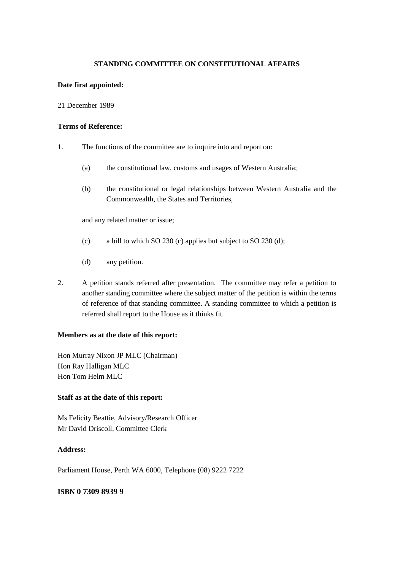### **STANDING COMMITTEE ON CONSTITUTIONAL AFFAIRS**

#### **Date first appointed:**

#### 21 December 1989

#### **Terms of Reference:**

- 1. The functions of the committee are to inquire into and report on:
	- (a) the constitutional law, customs and usages of Western Australia;
	- (b) the constitutional or legal relationships between Western Australia and the Commonwealth, the States and Territories,

and any related matter or issue;

- (c) a bill to which SO 230 (c) applies but subject to SO 230 (d);
- (d) any petition.
- 2. A petition stands referred after presentation. The committee may refer a petition to another standing committee where the subject matter of the petition is within the terms of reference of that standing committee. A standing committee to which a petition is referred shall report to the House as it thinks fit.

#### **Members as at the date of this report:**

Hon Murray Nixon JP MLC (Chairman) Hon Ray Halligan MLC Hon Tom Helm MLC

#### **Staff as at the date of this report:**

Ms Felicity Beattie, Advisory/Research Officer Mr David Driscoll, Committee Clerk

#### **Address:**

Parliament House, Perth WA 6000, Telephone (08) 9222 7222

#### **ISBN 0 7309 8939 9**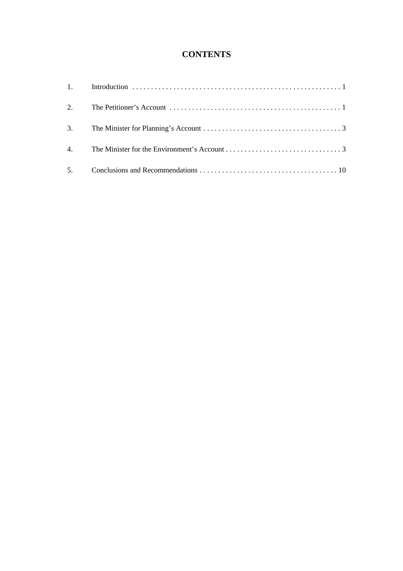## **CONTENTS**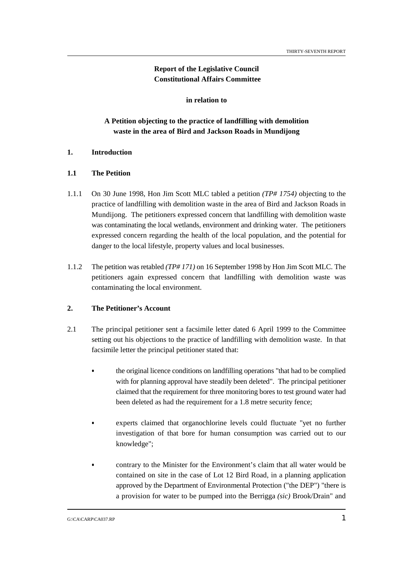## **Report of the Legislative Council Constitutional Affairs Committee**

 **in relation to** 

## **A Petition objecting to the practice of landfilling with demolition waste in the area of Bird and Jackson Roads in Mundijong**

#### **1. Introduction**

#### **1.1 The Petition**

- 1.1.1 On 30 June 1998, Hon Jim Scott MLC tabled a petition *(TP# 1754)* objecting to the practice of landfilling with demolition waste in the area of Bird and Jackson Roads in Mundijong. The petitioners expressed concern that landfilling with demolition waste was contaminating the local wetlands, environment and drinking water. The petitioners expressed concern regarding the health of the local population, and the potential for danger to the local lifestyle, property values and local businesses.
- 1.1.2 The petition was retabled *(TP# 171)* on 16 September 1998 by Hon Jim Scott MLC. The petitioners again expressed concern that landfilling with demolition waste was contaminating the local environment.

#### **2. The Petitioner's Account**

- 2.1 The principal petitioner sent a facsimile letter dated 6 April 1999 to the Committee setting out his objections to the practice of landfilling with demolition waste. In that facsimile letter the principal petitioner stated that:
	- the original licence conditions on landfilling operations "that had to be complied with for planning approval have steadily been deleted". The principal petitioner claimed that the requirement for three monitoring bores to test ground water had been deleted as had the requirement for a 1.8 metre security fence;
	- experts claimed that organochlorine levels could fluctuate "yet no further investigation of that bore for human consumption was carried out to our knowledge";
		- contrary to the Minister for the Environment's claim that all water would be contained on site in the case of Lot 12 Bird Road, in a planning application approved by the Department of Environmental Protection ("the DEP") "there is a provision for water to be pumped into the Berrigga *(sic)* Brook/Drain" and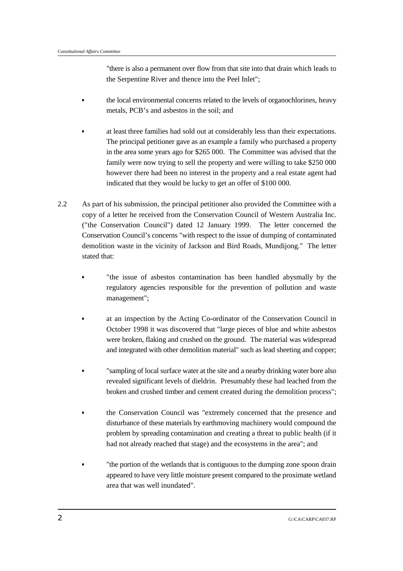"there is also a permanent over flow from that site into that drain which leads to the Serpentine River and thence into the Peel Inlet";

- the local environmental concerns related to the levels of organochlorines, heavy metals, PCB's and asbestos in the soil; and
- at least three families had sold out at considerably less than their expectations. The principal petitioner gave as an example a family who purchased a property in the area some years ago for \$265 000. The Committee was advised that the family were now trying to sell the property and were willing to take \$250 000 however there had been no interest in the property and a real estate agent had indicated that they would be lucky to get an offer of \$100 000.
- 2.2 As part of his submission, the principal petitioner also provided the Committee with a copy of a letter he received from the Conservation Council of Western Australia Inc. ("the Conservation Council") dated 12 January 1999. The letter concerned the Conservation Council's concerns "with respect to the issue of dumping of contaminated demolition waste in the vicinity of Jackson and Bird Roads, Mundijong." The letter stated that:
	- "the issue of asbestos contamination has been handled abysmally by the regulatory agencies responsible for the prevention of pollution and waste management";
	- at an inspection by the Acting Co-ordinator of the Conservation Council in October 1998 it was discovered that "large pieces of blue and white asbestos were broken, flaking and crushed on the ground. The material was widespread and integrated with other demolition material" such as lead sheeting and copper;
	- "sampling of local surface water at the site and a nearby drinking water bore also revealed significant levels of dieldrin. Presumably these had leached from the broken and crushed timber and cement created during the demolition process";
	- the Conservation Council was "extremely concerned that the presence and disturbance of these materials by earthmoving machinery would compound the problem by spreading contamination and creating a threat to public health (if it had not already reached that stage) and the ecosystems in the area"; and
	- "the portion of the wetlands that is contiguous to the dumping zone spoon drain appeared to have very little moisture present compared to the proximate wetland area that was well inundated".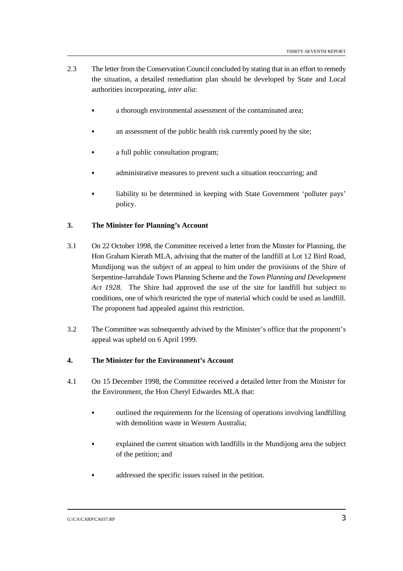- 2.3 The letter from the Conservation Council concluded by stating that in an effort to remedy the situation, a detailed remediation plan should be developed by State and Local authorities incorporating, *inter alia*:
	- a thorough environmental assessment of the contaminated area;
	- an assessment of the public health risk currently posed by the site;
	- a full public consultation program;
	- administrative measures to prevent such a situation reoccurring; and
	- liability to be determined in keeping with State Government 'polluter pays' policy.

#### **3. The Minister for Planning's Account**

- 3.1 On 22 October 1998, the Committee received a letter from the Minster for Planning, the Hon Graham Kierath MLA, advising that the matter of the landfill at Lot 12 Bird Road, Mundijong was the subject of an appeal to him under the provisions of the Shire of Serpentine-Jarrahdale Town Planning Scheme and the *Town Planning and Development Act 1928.* The Shire had approved the use of the site for landfill but subject to conditions, one of which restricted the type of material which could be used as landfill. The proponent had appealed against this restriction.
- 3.2 The Committee was subsequently advised by the Minister's office that the proponent's appeal was upheld on 6 April 1999.

#### **4. The Minister for the Environment's Account**

- 4.1 On 15 December 1998, the Committee received a detailed letter from the Minister for the Environment, the Hon Cheryl Edwardes MLA that:
	- outlined the requirements for the licensing of operations involving landfilling with demolition waste in Western Australia;
	- explained the current situation with landfills in the Mundijong area the subject of the petition; and
	- addressed the specific issues raised in the petition.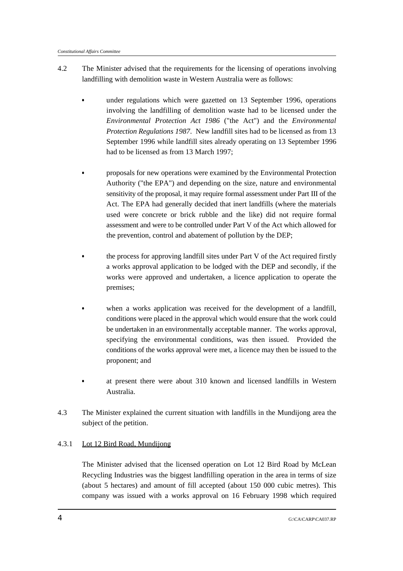- 4.2 The Minister advised that the requirements for the licensing of operations involving landfilling with demolition waste in Western Australia were as follows:
	- under regulations which were gazetted on 13 September 1996, operations involving the landfilling of demolition waste had to be licensed under the *Environmental Protection Act 1986* ("the Act") and the *Environmental Protection Regulations 1987*. New landfill sites had to be licensed as from 13 September 1996 while landfill sites already operating on 13 September 1996 had to be licensed as from 13 March 1997;
		- proposals for new operations were examined by the Environmental Protection Authority ("the EPA") and depending on the size, nature and environmental sensitivity of the proposal, it may require formal assessment under Part III of the Act. The EPA had generally decided that inert landfills (where the materials used were concrete or brick rubble and the like) did not require formal assessment and were to be controlled under Part V of the Act which allowed for the prevention, control and abatement of pollution by the DEP;
	- the process for approving landfill sites under Part V of the Act required firstly a works approval application to be lodged with the DEP and secondly, if the works were approved and undertaken, a licence application to operate the premises;
	- when a works application was received for the development of a landfill, conditions were placed in the approval which would ensure that the work could be undertaken in an environmentally acceptable manner. The works approval, specifying the environmental conditions, was then issued. Provided the conditions of the works approval were met, a licence may then be issued to the proponent; and
	- at present there were about 310 known and licensed landfills in Western Australia.
- 4.3 The Minister explained the current situation with landfills in the Mundijong area the subject of the petition.

### 4.3.1 Lot 12 Bird Road, Mundijong

The Minister advised that the licensed operation on Lot 12 Bird Road by McLean Recycling Industries was the biggest landfilling operation in the area in terms of size (about 5 hectares) and amount of fill accepted (about 150 000 cubic metres). This company was issued with a works approval on 16 February 1998 which required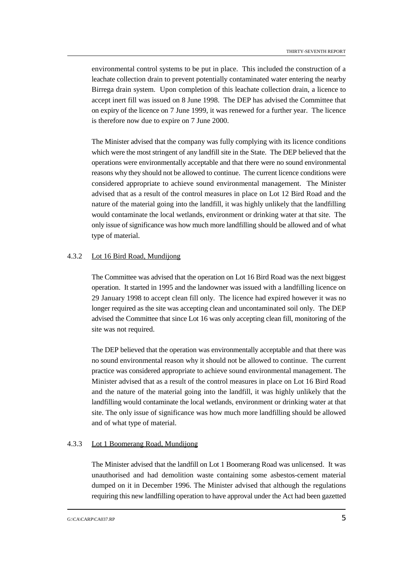environmental control systems to be put in place. This included the construction of a leachate collection drain to prevent potentially contaminated water entering the nearby Birrega drain system. Upon completion of this leachate collection drain, a licence to accept inert fill was issued on 8 June 1998. The DEP has advised the Committee that on expiry of the licence on 7 June 1999, it was renewed for a further year. The licence is therefore now due to expire on 7 June 2000.

The Minister advised that the company was fully complying with its licence conditions which were the most stringent of any landfill site in the State. The DEP believed that the operations were environmentally acceptable and that there were no sound environmental reasons why they should not be allowed to continue. The current licence conditions were considered appropriate to achieve sound environmental management. The Minister advised that as a result of the control measures in place on Lot 12 Bird Road and the nature of the material going into the landfill, it was highly unlikely that the landfilling would contaminate the local wetlands, environment or drinking water at that site. The only issue of significance was how much more landfilling should be allowed and of what type of material.

#### 4.3.2 Lot 16 Bird Road, Mundijong

The Committee was advised that the operation on Lot 16 Bird Road was the next biggest operation. It started in 1995 and the landowner was issued with a landfilling licence on 29 January 1998 to accept clean fill only. The licence had expired however it was no longer required as the site was accepting clean and uncontaminated soil only. The DEP advised the Committee that since Lot 16 was only accepting clean fill, monitoring of the site was not required.

The DEP believed that the operation was environmentally acceptable and that there was no sound environmental reason why it should not be allowed to continue. The current practice was considered appropriate to achieve sound environmental management. The Minister advised that as a result of the control measures in place on Lot 16 Bird Road and the nature of the material going into the landfill, it was highly unlikely that the landfilling would contaminate the local wetlands, environment or drinking water at that site. The only issue of significance was how much more landfilling should be allowed and of what type of material.

#### 4.3.3 Lot 1 Boomerang Road, Mundijong

The Minister advised that the landfill on Lot 1 Boomerang Road was unlicensed. It was unauthorised and had demolition waste containing some asbestos-cement material dumped on it in December 1996. The Minister advised that although the regulations requiring this new landfilling operation to have approval under the Act had been gazetted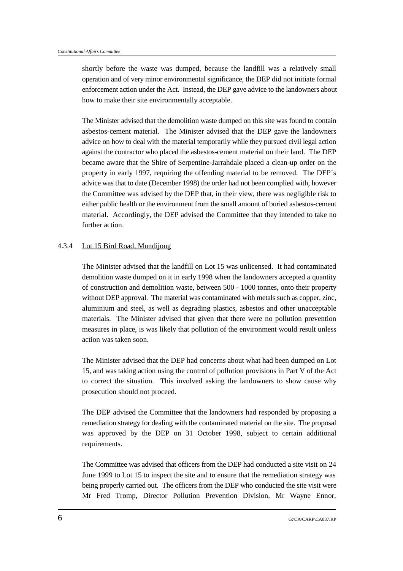shortly before the waste was dumped, because the landfill was a relatively small operation and of very minor environmental significance, the DEP did not initiate formal enforcement action under the Act. Instead, the DEP gave advice to the landowners about how to make their site environmentally acceptable.

The Minister advised that the demolition waste dumped on this site was found to contain asbestos-cement material. The Minister advised that the DEP gave the landowners advice on how to deal with the material temporarily while they pursued civil legal action against the contractor who placed the asbestos-cement material on their land. The DEP became aware that the Shire of Serpentine-Jarrahdale placed a clean-up order on the property in early 1997, requiring the offending material to be removed. The DEP's advice was that to date (December 1998) the order had not been complied with, however the Committee was advised by the DEP that, in their view, there was negligible risk to either public health or the environment from the small amount of buried asbestos-cement material. Accordingly, the DEP advised the Committee that they intended to take no further action.

#### 4.3.4 Lot 15 Bird Road, Mundijong

The Minister advised that the landfill on Lot 15 was unlicensed. It had contaminated demolition waste dumped on it in early 1998 when the landowners accepted a quantity of construction and demolition waste, between 500 - 1000 tonnes, onto their property without DEP approval. The material was contaminated with metals such as copper, zinc, aluminium and steel, as well as degrading plastics, asbestos and other unacceptable materials. The Minister advised that given that there were no pollution prevention measures in place, is was likely that pollution of the environment would result unless action was taken soon.

The Minister advised that the DEP had concerns about what had been dumped on Lot 15, and was taking action using the control of pollution provisions in Part V of the Act to correct the situation. This involved asking the landowners to show cause why prosecution should not proceed.

The DEP advised the Committee that the landowners had responded by proposing a remediation strategy for dealing with the contaminated material on the site. The proposal was approved by the DEP on 31 October 1998, subject to certain additional requirements.

The Committee was advised that officers from the DEP had conducted a site visit on 24 June 1999 to Lot 15 to inspect the site and to ensure that the remediation strategy was being properly carried out. The officers from the DEP who conducted the site visit were Mr Fred Tromp, Director Pollution Prevention Division, Mr Wayne Ennor,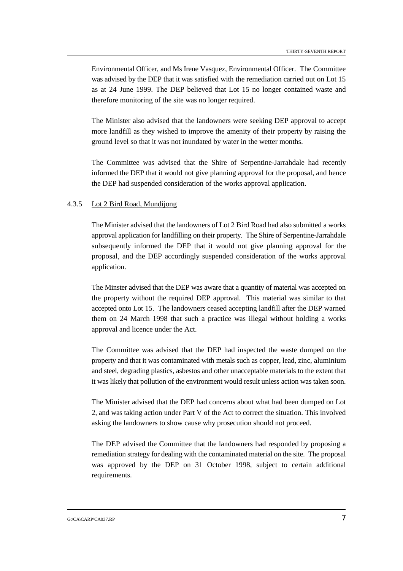Environmental Officer, and Ms Irene Vasquez, Environmental Officer. The Committee was advised by the DEP that it was satisfied with the remediation carried out on Lot 15 as at 24 June 1999. The DEP believed that Lot 15 no longer contained waste and therefore monitoring of the site was no longer required.

The Minister also advised that the landowners were seeking DEP approval to accept more landfill as they wished to improve the amenity of their property by raising the ground level so that it was not inundated by water in the wetter months.

The Committee was advised that the Shire of Serpentine-Jarrahdale had recently informed the DEP that it would not give planning approval for the proposal, and hence the DEP had suspended consideration of the works approval application.

#### 4.3.5 Lot 2 Bird Road, Mundijong

The Minister advised that the landowners of Lot 2 Bird Road had also submitted a works approval application for landfilling on their property. The Shire of Serpentine-Jarrahdale subsequently informed the DEP that it would not give planning approval for the proposal, and the DEP accordingly suspended consideration of the works approval application.

The Minster advised that the DEP was aware that a quantity of material was accepted on the property without the required DEP approval. This material was similar to that accepted onto Lot 15. The landowners ceased accepting landfill after the DEP warned them on 24 March 1998 that such a practice was illegal without holding a works approval and licence under the Act.

The Committee was advised that the DEP had inspected the waste dumped on the property and that it was contaminated with metals such as copper, lead, zinc, aluminium and steel, degrading plastics, asbestos and other unacceptable materials to the extent that it was likely that pollution of the environment would result unless action was taken soon.

The Minister advised that the DEP had concerns about what had been dumped on Lot 2, and was taking action under Part V of the Act to correct the situation. This involved asking the landowners to show cause why prosecution should not proceed.

The DEP advised the Committee that the landowners had responded by proposing a remediation strategy for dealing with the contaminated material on the site. The proposal was approved by the DEP on 31 October 1998, subject to certain additional requirements.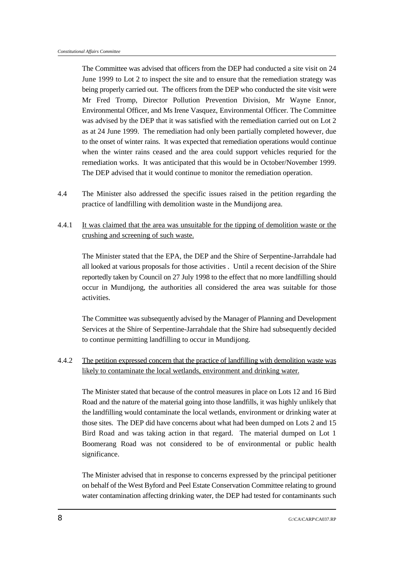The Committee was advised that officers from the DEP had conducted a site visit on 24 June 1999 to Lot 2 to inspect the site and to ensure that the remediation strategy was being properly carried out. The officers from the DEP who conducted the site visit were Mr Fred Tromp, Director Pollution Prevention Division, Mr Wayne Ennor, Environmental Officer, and Ms Irene Vasquez, Environmental Officer. The Committee was advised by the DEP that it was satisfied with the remediation carried out on Lot 2 as at 24 June 1999. The remediation had only been partially completed however, due to the onset of winter rains. It was expected that remediation operations would continue when the winter rains ceased and the area could support vehicles requried for the remediation works. It was anticipated that this would be in October/November 1999. The DEP advised that it would continue to monitor the remediation operation.

- 4.4 The Minister also addressed the specific issues raised in the petition regarding the practice of landfilling with demolition waste in the Mundijong area.
- 4.4.1 It was claimed that the area was unsuitable for the tipping of demolition waste or the crushing and screening of such waste.

The Minister stated that the EPA, the DEP and the Shire of Serpentine-Jarrahdale had all looked at various proposals for those activities . Until a recent decision of the Shire reportedly taken by Council on 27 July 1998 to the effect that no more landfilling should occur in Mundijong, the authorities all considered the area was suitable for those activities.

The Committee was subsequently advised by the Manager of Planning and Development Services at the Shire of Serpentine-Jarrahdale that the Shire had subsequently decided to continue permitting landfilling to occur in Mundijong.

4.4.2 The petition expressed concern that the practice of landfilling with demolition waste was likely to contaminate the local wetlands, environment and drinking water.

The Minister stated that because of the control measures in place on Lots 12 and 16 Bird Road and the nature of the material going into those landfills, it was highly unlikely that the landfilling would contaminate the local wetlands, environment or drinking water at those sites. The DEP did have concerns about what had been dumped on Lots 2 and 15 Bird Road and was taking action in that regard. The material dumped on Lot 1 Boomerang Road was not considered to be of environmental or public health significance.

The Minister advised that in response to concerns expressed by the principal petitioner on behalf of the West Byford and Peel Estate Conservation Committee relating to ground water contamination affecting drinking water, the DEP had tested for contaminants such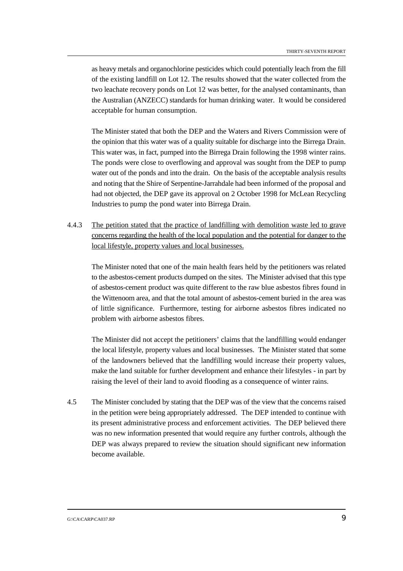as heavy metals and organochlorine pesticides which could potentially leach from the fill of the existing landfill on Lot 12. The results showed that the water collected from the two leachate recovery ponds on Lot 12 was better, for the analysed contaminants, than the Australian (ANZECC) standards for human drinking water. It would be considered acceptable for human consumption.

The Minister stated that both the DEP and the Waters and Rivers Commission were of the opinion that this water was of a quality suitable for discharge into the Birrega Drain. This water was, in fact, pumped into the Birrega Drain following the 1998 winter rains. The ponds were close to overflowing and approval was sought from the DEP to pump water out of the ponds and into the drain. On the basis of the acceptable analysis results and noting that the Shire of Serpentine-Jarrahdale had been informed of the proposal and had not objected, the DEP gave its approval on 2 October 1998 for McLean Recycling Industries to pump the pond water into Birrega Drain.

4.4.3 The petition stated that the practice of landfilling with demolition waste led to grave concerns regarding the health of the local population and the potential for danger to the local lifestyle, property values and local businesses.

The Minister noted that one of the main health fears held by the petitioners was related to the asbestos-cement products dumped on the sites. The Minister advised that this type of asbestos-cement product was quite different to the raw blue asbestos fibres found in the Wittenoom area, and that the total amount of asbestos-cement buried in the area was of little significance. Furthermore, testing for airborne asbestos fibres indicated no problem with airborne asbestos fibres.

The Minister did not accept the petitioners' claims that the landfilling would endanger the local lifestyle, property values and local businesses. The Minister stated that some of the landowners believed that the landfilling would increase their property values, make the land suitable for further development and enhance their lifestyles - in part by raising the level of their land to avoid flooding as a consequence of winter rains.

4.5 The Minister concluded by stating that the DEP was of the view that the concerns raised in the petition were being appropriately addressed. The DEP intended to continue with its present administrative process and enforcement activities. The DEP believed there was no new information presented that would require any further controls, although the DEP was always prepared to review the situation should significant new information become available.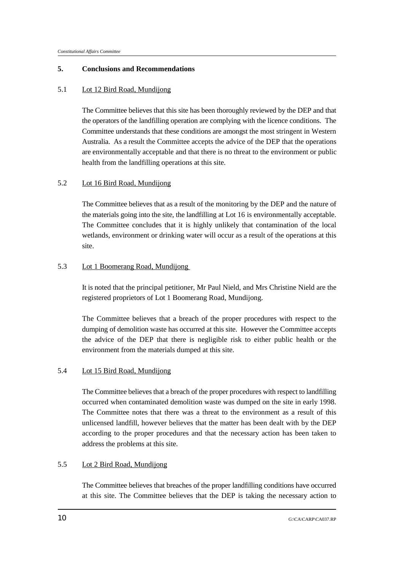#### **5. Conclusions and Recommendations**

#### 5.1 Lot 12 Bird Road, Mundijong

The Committee believes that this site has been thoroughly reviewed by the DEP and that the operators of the landfilling operation are complying with the licence conditions. The Committee understands that these conditions are amongst the most stringent in Western Australia. As a result the Committee accepts the advice of the DEP that the operations are environmentally acceptable and that there is no threat to the environment or public health from the landfilling operations at this site.

#### 5.2 Lot 16 Bird Road, Mundijong

The Committee believes that as a result of the monitoring by the DEP and the nature of the materials going into the site, the landfilling at Lot 16 is environmentally acceptable. The Committee concludes that it is highly unlikely that contamination of the local wetlands, environment or drinking water will occur as a result of the operations at this site.

#### 5.3 Lot 1 Boomerang Road, Mundijong

It is noted that the principal petitioner, Mr Paul Nield, and Mrs Christine Nield are the registered proprietors of Lot 1 Boomerang Road, Mundijong.

The Committee believes that a breach of the proper procedures with respect to the dumping of demolition waste has occurred at this site. However the Committee accepts the advice of the DEP that there is negligible risk to either public health or the environment from the materials dumped at this site.

#### 5.4 Lot 15 Bird Road, Mundijong

The Committee believes that a breach of the proper procedures with respect to landfilling occurred when contaminated demolition waste was dumped on the site in early 1998. The Committee notes that there was a threat to the environment as a result of this unlicensed landfill, however believes that the matter has been dealt with by the DEP according to the proper procedures and that the necessary action has been taken to address the problems at this site.

#### 5.5 Lot 2 Bird Road, Mundijong

The Committee believes that breaches of the proper landfilling conditions have occurred at this site. The Committee believes that the DEP is taking the necessary action to